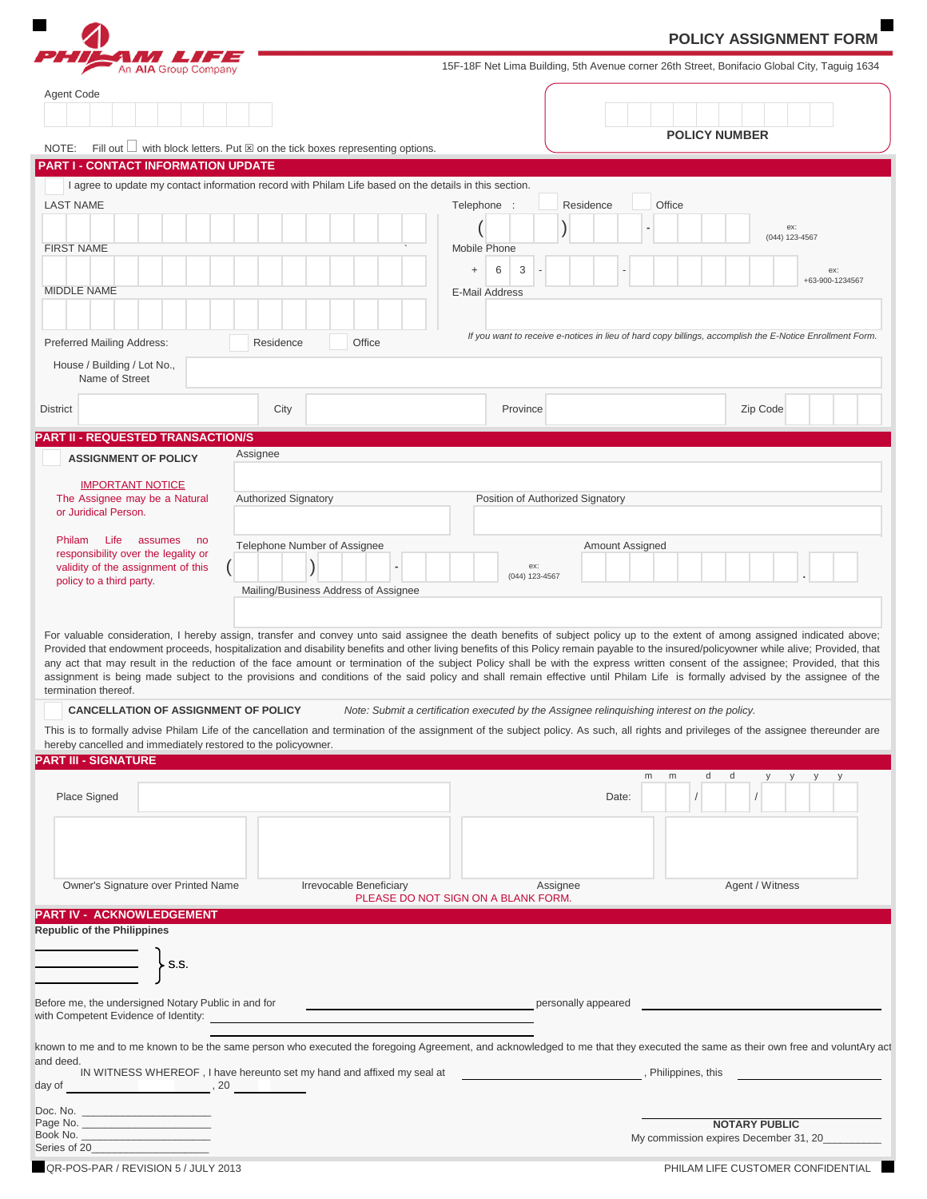|                                                                                              |                                                                                                        | <b>POLICY ASSIGNMENT FORM</b>                                                               |                                                                                                                                                                                                                                                                                                                                                                                                                                                                                                                                                                                                                                                                                                                                             |  |
|----------------------------------------------------------------------------------------------|--------------------------------------------------------------------------------------------------------|---------------------------------------------------------------------------------------------|---------------------------------------------------------------------------------------------------------------------------------------------------------------------------------------------------------------------------------------------------------------------------------------------------------------------------------------------------------------------------------------------------------------------------------------------------------------------------------------------------------------------------------------------------------------------------------------------------------------------------------------------------------------------------------------------------------------------------------------------|--|
| An AIA Group Company                                                                         |                                                                                                        |                                                                                             | 15F-18F Net Lima Building, 5th Avenue corner 26th Street, Bonifacio Global City, Taguig 1634                                                                                                                                                                                                                                                                                                                                                                                                                                                                                                                                                                                                                                                |  |
| Agent Code                                                                                   |                                                                                                        |                                                                                             |                                                                                                                                                                                                                                                                                                                                                                                                                                                                                                                                                                                                                                                                                                                                             |  |
|                                                                                              |                                                                                                        |                                                                                             |                                                                                                                                                                                                                                                                                                                                                                                                                                                                                                                                                                                                                                                                                                                                             |  |
| NOTE:                                                                                        | Fill out $\Box$ with block letters. Put $\boxtimes$ on the tick boxes representing options.            |                                                                                             | <b>POLICY NUMBER</b>                                                                                                                                                                                                                                                                                                                                                                                                                                                                                                                                                                                                                                                                                                                        |  |
| <b>PART I - CONTACT INFORMATION UPDATE</b>                                                   |                                                                                                        |                                                                                             |                                                                                                                                                                                                                                                                                                                                                                                                                                                                                                                                                                                                                                                                                                                                             |  |
|                                                                                              | I agree to update my contact information record with Philam Life based on the details in this section. |                                                                                             |                                                                                                                                                                                                                                                                                                                                                                                                                                                                                                                                                                                                                                                                                                                                             |  |
| <b>LAST NAME</b>                                                                             |                                                                                                        | Residence<br>Telephone :                                                                    | Office                                                                                                                                                                                                                                                                                                                                                                                                                                                                                                                                                                                                                                                                                                                                      |  |
| <b>FIRST NAME</b>                                                                            |                                                                                                        | Mobile Phone<br>3<br>6<br>$+$                                                               | ex:<br>(044) 123-4567<br>ex:                                                                                                                                                                                                                                                                                                                                                                                                                                                                                                                                                                                                                                                                                                                |  |
| <b>MIDDLE NAME</b>                                                                           |                                                                                                        | <b>E-Mail Address</b>                                                                       | +63-900-1234567                                                                                                                                                                                                                                                                                                                                                                                                                                                                                                                                                                                                                                                                                                                             |  |
|                                                                                              |                                                                                                        |                                                                                             | If you want to receive e-notices in lieu of hard copy billings, accomplish the E-Notice Enrollment Form.                                                                                                                                                                                                                                                                                                                                                                                                                                                                                                                                                                                                                                    |  |
| Preferred Mailing Address:                                                                   | Office<br>Residence                                                                                    |                                                                                             |                                                                                                                                                                                                                                                                                                                                                                                                                                                                                                                                                                                                                                                                                                                                             |  |
| House / Building / Lot No.,<br>Name of Street                                                |                                                                                                        |                                                                                             |                                                                                                                                                                                                                                                                                                                                                                                                                                                                                                                                                                                                                                                                                                                                             |  |
| <b>District</b>                                                                              | City                                                                                                   | Province                                                                                    | Zip Code                                                                                                                                                                                                                                                                                                                                                                                                                                                                                                                                                                                                                                                                                                                                    |  |
| <b>PART II - REQUESTED TRANSACTION/S</b>                                                     |                                                                                                        |                                                                                             |                                                                                                                                                                                                                                                                                                                                                                                                                                                                                                                                                                                                                                                                                                                                             |  |
| <b>ASSIGNMENT OF POLICY</b>                                                                  | Assignee                                                                                               |                                                                                             |                                                                                                                                                                                                                                                                                                                                                                                                                                                                                                                                                                                                                                                                                                                                             |  |
| <b>IMPORTANT NOTICE</b>                                                                      |                                                                                                        |                                                                                             |                                                                                                                                                                                                                                                                                                                                                                                                                                                                                                                                                                                                                                                                                                                                             |  |
| The Assignee may be a Natural<br>or Juridical Person.                                        | <b>Authorized Signatory</b>                                                                            | Position of Authorized Signatory                                                            |                                                                                                                                                                                                                                                                                                                                                                                                                                                                                                                                                                                                                                                                                                                                             |  |
| Life assumes no<br>Philam                                                                    | Telephone Number of Assignee                                                                           | Amount Assigned                                                                             |                                                                                                                                                                                                                                                                                                                                                                                                                                                                                                                                                                                                                                                                                                                                             |  |
| responsibility over the legality or<br>validity of the assignment of this                    | $\frac{1}{2}$                                                                                          | ex:                                                                                         |                                                                                                                                                                                                                                                                                                                                                                                                                                                                                                                                                                                                                                                                                                                                             |  |
| policy to a third party.                                                                     | Mailing/Business Address of Assignee                                                                   | (044) 123-4567                                                                              |                                                                                                                                                                                                                                                                                                                                                                                                                                                                                                                                                                                                                                                                                                                                             |  |
|                                                                                              |                                                                                                        |                                                                                             |                                                                                                                                                                                                                                                                                                                                                                                                                                                                                                                                                                                                                                                                                                                                             |  |
| termination thereof.                                                                         |                                                                                                        |                                                                                             | For valuable consideration, I hereby assign, transfer and convey unto said assignee the death benefits of subject policy up to the extent of among assigned indicated above;<br>Provided that endowment proceeds, hospitalization and disability benefits and other living benefits of this Policy remain payable to the insured/policyowner while alive; Provided, that<br>any act that may result in the reduction of the face amount or termination of the subject Policy shall be with the express written consent of the assignee; Provided, that this<br>assignment is being made subject to the provisions and conditions of the said policy and shall remain effective until Philam Life is formally advised by the assignee of the |  |
| <b>CANCELLATION OF ASSIGNMENT OF POLICY</b>                                                  |                                                                                                        | Note: Submit a certification executed by the Assignee relinquishing interest on the policy. |                                                                                                                                                                                                                                                                                                                                                                                                                                                                                                                                                                                                                                                                                                                                             |  |
|                                                                                              |                                                                                                        |                                                                                             | This is to formally advise Philam Life of the cancellation and termination of the assignment of the subject policy. As such, all rights and privileges of the assignee thereunder are                                                                                                                                                                                                                                                                                                                                                                                                                                                                                                                                                       |  |
| hereby cancelled and immediately restored to the policyowner.<br><b>PART III - SIGNATURE</b> |                                                                                                        |                                                                                             |                                                                                                                                                                                                                                                                                                                                                                                                                                                                                                                                                                                                                                                                                                                                             |  |
|                                                                                              |                                                                                                        |                                                                                             | m<br>d<br>m<br>d<br>y<br>У                                                                                                                                                                                                                                                                                                                                                                                                                                                                                                                                                                                                                                                                                                                  |  |
| Place Signed                                                                                 |                                                                                                        | Date:                                                                                       |                                                                                                                                                                                                                                                                                                                                                                                                                                                                                                                                                                                                                                                                                                                                             |  |
|                                                                                              |                                                                                                        |                                                                                             |                                                                                                                                                                                                                                                                                                                                                                                                                                                                                                                                                                                                                                                                                                                                             |  |
|                                                                                              |                                                                                                        |                                                                                             |                                                                                                                                                                                                                                                                                                                                                                                                                                                                                                                                                                                                                                                                                                                                             |  |
| Owner's Signature over Printed Name                                                          | Irrevocable Beneficiary                                                                                | Assignee<br>PLEASE DO NOT SIGN ON A BLANK FORM.                                             | Agent / Witness                                                                                                                                                                                                                                                                                                                                                                                                                                                                                                                                                                                                                                                                                                                             |  |
| PART IV - ACKNOWLEDGEMENT                                                                    |                                                                                                        |                                                                                             |                                                                                                                                                                                                                                                                                                                                                                                                                                                                                                                                                                                                                                                                                                                                             |  |
| <b>Republic of the Philippines</b>                                                           |                                                                                                        |                                                                                             |                                                                                                                                                                                                                                                                                                                                                                                                                                                                                                                                                                                                                                                                                                                                             |  |
| ≻ss.                                                                                         |                                                                                                        |                                                                                             |                                                                                                                                                                                                                                                                                                                                                                                                                                                                                                                                                                                                                                                                                                                                             |  |
|                                                                                              |                                                                                                        |                                                                                             |                                                                                                                                                                                                                                                                                                                                                                                                                                                                                                                                                                                                                                                                                                                                             |  |
| Before me, the undersigned Notary Public in and for<br>with Competent Evidence of Identity:  |                                                                                                        | personally appeared                                                                         |                                                                                                                                                                                                                                                                                                                                                                                                                                                                                                                                                                                                                                                                                                                                             |  |
|                                                                                              |                                                                                                        |                                                                                             | known to me and to me known to be the same person who executed the foregoing Agreement, and acknowledged to me that they executed the same as their own free and voluntAry act                                                                                                                                                                                                                                                                                                                                                                                                                                                                                                                                                              |  |
| and deed.<br>$day of$ , 20                                                                   | IN WITNESS WHEREOF, I have hereunto set my hand and affixed my seal at                                 |                                                                                             | , Philippines, this                                                                                                                                                                                                                                                                                                                                                                                                                                                                                                                                                                                                                                                                                                                         |  |
|                                                                                              |                                                                                                        |                                                                                             |                                                                                                                                                                                                                                                                                                                                                                                                                                                                                                                                                                                                                                                                                                                                             |  |
| Page No.                                                                                     |                                                                                                        |                                                                                             | <b>NOTARY PUBLIC</b>                                                                                                                                                                                                                                                                                                                                                                                                                                                                                                                                                                                                                                                                                                                        |  |
| Series of 20                                                                                 |                                                                                                        |                                                                                             | My commission expires December 31, 20                                                                                                                                                                                                                                                                                                                                                                                                                                                                                                                                                                                                                                                                                                       |  |
| QR-POS-PAR / REVISION 5 / JULY 2013                                                          |                                                                                                        |                                                                                             | PHILAM LIFE CUSTOMER CONFIDENTIAL                                                                                                                                                                                                                                                                                                                                                                                                                                                                                                                                                                                                                                                                                                           |  |